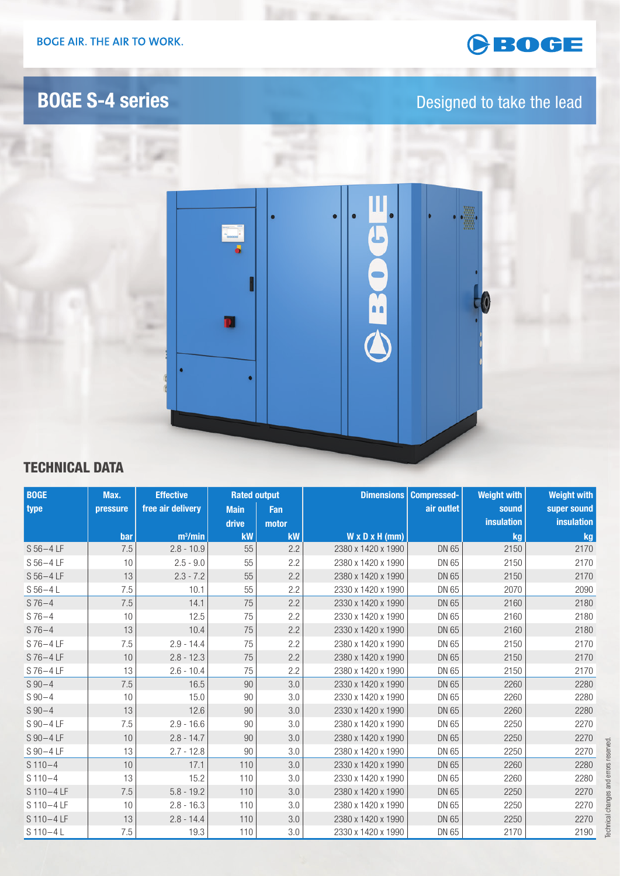# GBOGE

# **BOGE S-4 series Designed to take the lead**



### TECHNICAL DATA

| <b>BOGE</b>   | Max.     | <b>Effective</b>    | <b>Rated output</b> |           | <b>Dimensions</b>          | <b>Compressed-</b> | <b>Weight with</b> | <b>Weight with</b> |
|---------------|----------|---------------------|---------------------|-----------|----------------------------|--------------------|--------------------|--------------------|
| type          | pressure | free air delivery   | <b>Main</b>         | Fan       |                            | air outlet         | sound              | super sound        |
|               |          |                     | drive               | motor     |                            |                    | insulation         | insulation         |
|               | bar      | m <sup>3</sup> /min | kW                  | <b>kW</b> | $W \times D \times H$ (mm) |                    | kg                 | kg                 |
| $S 56 - 4LF$  | 7.5      | $2.8 - 10.9$        | 55                  | 2.2       | 2380 x 1420 x 1990         | DN 65              | 2150               | 2170               |
| $S 56 - 4LF$  | 10       | $2.5 - 9.0$         | 55                  | 2.2       | 2380 x 1420 x 1990         | DN 65              | 2150               | 2170               |
| $S 56 - 4LF$  | 13       | $2.3 - 7.2$         | 55                  | 2.2       | 2380 x 1420 x 1990         | DN 65              | 2150               | 2170               |
| $S 56 - 4 L$  | 7.5      | 10.1                | 55                  | 2.2       | 2330 x 1420 x 1990         | DN 65              | 2070               | 2090               |
| $S76 - 4$     | 7.5      | 14.1                | 75                  | 2.2       | 2330 x 1420 x 1990         | DN 65              | 2160               | 2180               |
| $S76 - 4$     | 10       | 12.5                | 75                  | 2.2       | 2330 x 1420 x 1990         | DN 65              | 2160               | 2180               |
| $S76 - 4$     | 13       | 10.4                | 75                  | 2.2       | 2330 x 1420 x 1990         | DN 65              | 2160               | 2180               |
| $S$ 76 – 4 LF | 7.5      | $2.9 - 14.4$        | 75                  | 2.2       | 2380 x 1420 x 1990         | DN 65              | 2150               | 2170               |
| $S$ 76 – 4 LF | 10       | $2.8 - 12.3$        | 75                  | 2.2       | 2380 x 1420 x 1990         | DN 65              | 2150               | 2170               |
| S76-4LF       | 13       | $2.6 - 10.4$        | 75                  | 2.2       | 2380 x 1420 x 1990         | DN 65              | 2150               | 2170               |
| $S$ 90 $-4$   | 7.5      | 16.5                | 90                  | 3.0       | 2330 x 1420 x 1990         | DN 65              | 2260               | 2280               |
| $S_{90-4}$    | 10       | 15.0                | 90                  | 3.0       | 2330 x 1420 x 1990         | DN 65              | 2260               | 2280               |
| $S_{90-4}$    | 13       | 12.6                | 90                  | 3.0       | 2330 x 1420 x 1990         | DN 65              | 2260               | 2280               |
| $S$ 90 – 4 LF | 7.5      | $2.9 - 16.6$        | 90                  | 3.0       | 2380 x 1420 x 1990         | DN 65              | 2250               | 2270               |
| $S$ 90 – 4 LF | 10       | $2.8 - 14.7$        | 90                  | 3.0       | 2380 x 1420 x 1990         | DN 65              | 2250               | 2270               |
| S 90-4 LF     | 13       | $2.7 - 12.8$        | 90                  | 3.0       | 2380 x 1420 x 1990         | DN 65              | 2250               | 2270               |
| $S110-4$      | 10       | 17.1                | 110                 | 3.0       | 2330 x 1420 x 1990         | DN 65              | 2260               | 2280               |
| $S110-4$      | 13       | 15.2                | 110                 | 3.0       | 2330 x 1420 x 1990         | DN 65              | 2260               | 2280               |
| S110-4LF      | 7.5      | $5.8 - 19.2$        | 110                 | 3.0       | 2380 x 1420 x 1990         | DN 65              | 2250               | 2270               |
| S110-4LF      | 10       | $2.8 - 16.3$        | 110                 | 3.0       | 2380 x 1420 x 1990         | DN 65              | 2250               | 2270               |
| S110-4LF      | 13       | $2.8 - 14.4$        | 110                 | 3.0       | 2380 x 1420 x 1990         | DN 65              | 2250               | 2270               |
| $S$ 110-4L    | 7.5      | 19.3                | 110                 | 3.0       | 2330 x 1420 x 1990         | DN 65              | 2170               | 2190               |